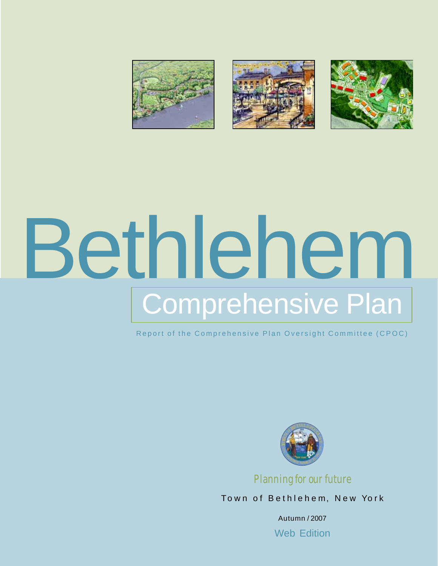

# Bethlehem Comprehensive Plan

Report of the Comprehensive Plan Oversight Committee (CPOC)



*Planning for our future*

Town of Bethlehem, New York

Autumn / 2007 Web Edition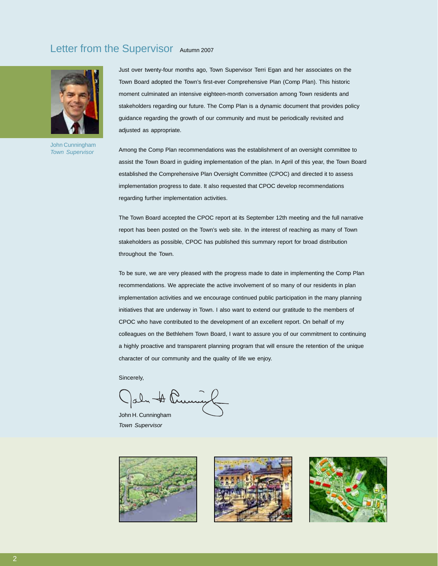#### Letter from the Supervisor Autumn 2007



John Cunningham *Town Supervisor*

Just over twenty-four months ago, Town Supervisor Terri Egan and her associates on the Town Board adopted the Town's first-ever Comprehensive Plan (Comp Plan). This historic moment culminated an intensive eighteen-month conversation among Town residents and stakeholders regarding our future. The Comp Plan is a dynamic document that provides policy guidance regarding the growth of our community and must be periodically revisited and adjusted as appropriate.

Among the Comp Plan recommendations was the establishment of an oversight committee to assist the Town Board in guiding implementation of the plan. In April of this year, the Town Board established the Comprehensive Plan Oversight Committee (CPOC) and directed it to assess implementation progress to date. It also requested that CPOC develop recommendations regarding further implementation activities.

The Town Board accepted the CPOC report at its September 12th meeting and the full narrative report has been posted on the Town's web site. In the interest of reaching as many of Town stakeholders as possible, CPOC has published this summary report for broad distribution throughout the Town.

To be sure, we are very pleased with the progress made to date in implementing the Comp Plan recommendations. We appreciate the active involvement of so many of our residents in plan implementation activities and we encourage continued public participation in the many planning initiatives that are underway in Town. I also want to extend our gratitude to the members of CPOC who have contributed to the development of an excellent report. On behalf of my colleagues on the Bethlehem Town Board, I want to assure you of our commitment to continuing a highly proactive and transparent planning program that will ensure the retention of the unique character of our community and the quality of life we enjoy.

Sincerely,

John A Prumy

John H. Cunningham *Town Supervisor*





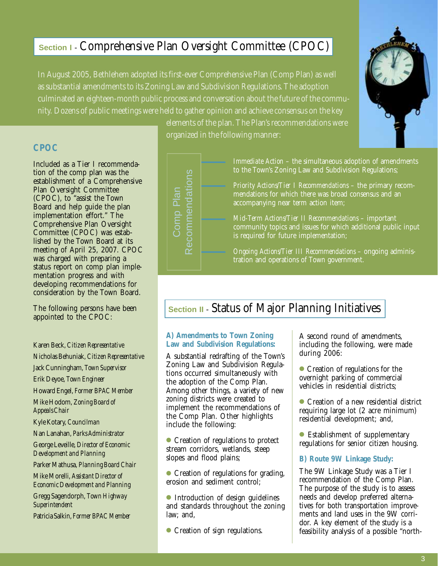#### **Section I** - Comprehensive Plan Oversight Committee (CPOC)

In August 2005, Bethlehem adopted its first-ever Comprehensive Plan (Comp Plan) as well as substantial amendments to its Zoning Law and Subdivision Regulations. The adoption culminated an eighteen-month public process and conversation about the future of the community. Dozens of public meetings were held to gather opinion and achieve consensus on the key

#### **CPOC**

Included as a Tier I recommendation of the comp plan was the establishment of a Comprehensive Plan Oversight Committee (CPOC), to "assist the Town Board and help guide the plan implementation effort." The Comprehensive Plan Oversight Committee (CPOC) was established by the Town Board at its meeting of April 25, 2007. CPOC was charged with preparing a status report on comp plan implementation progress and with developing recommendations for consideration by the Town Board.

The following persons have been appointed to the CPOC:

- Karen Beck, *Citizen Representative*
- Nicholas Behuniak, *Citizen Representative*

Jack Cunningham, *Town Supervisor*

Erik Deyoe, *Town Engineer*

Howard Engel, *Former BPAC Member*

Mike Hodom, *Zoning Board of Appeals Chair*

Kyle Kotary, *Councilman*

Nan Lanahan, *Parks Administrator*

George Leveille, *Director of Economic Development and Planning*

Parker Mathusa, *Planning Board Chair*

Mike Morelli, *Assistant Director of Economic Development and Planning*

Gregg Sagendorph, *Town Highway Superintendent*

Patricia Salkin, *Former BPAC Member*

elements of the plan. The Plan's recommendations were organized in the following manner:

## Recommendations Recommendations Comp Plan Comp Plan

*Immediate Action* – the simultaneous adoption of amendments to the Town's Zoning Law and Subdivision Regulations;

*Priority Actions/Tier I Recommendations* – the primary recommendations for which there was broad consensus and an accompanying near term action item;

*Mid-Term Actions/Tier II Recommendations* – important community topics and issues for which additional public input is required for future implementation;

*Ongoing Actions/Tier III Recommendations* – ongoing administration and operations of Town government.

### **Section II** - Status of Major Planning Initiatives

#### **A) Amendments to Town Zoning Law and Subdivision Regulations:**

A substantial redrafting of the Town's Zoning Law and Subdivision Regulations occurred simultaneously with the adoption of the Comp Plan. Among other things, a variety of new zoning districts were created to implement the recommendations of the Comp Plan. Other highlights include the following:

● Creation of regulations to protect stream corridors, wetlands, steep slopes and flood plains;

● Creation of regulations for grading, erosion and sediment control;

● Introduction of design guidelines and standards throughout the zoning law; and,

● Creation of sign regulations.

A second round of amendments, including the following, were made during  $\tilde{2006}$ :

Creation of regulations for the overnight parking of commercial vehicles in residential districts;

● Creation of a new residential district requiring large lot (2 acre minimum) residential development; and,

● Establishment of supplementary regulations for senior citizen housing.

#### **B) Route 9W Linkage Study:**

The 9W Linkage Study was a Tier I recommendation of the Comp Plan. The purpose of the study is to assess needs and develop preferred alternatives for both transportation improvements and land uses in the 9W corridor. A key element of the study is a feasibility analysis of a possible "north-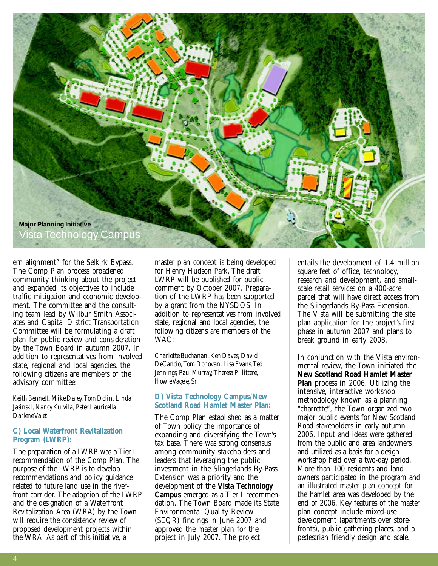

ern alignment" for the Selkirk Bypass. The Comp Plan process broadened community thinking about the project and expanded its objectives to include traffic mitigation and economic development. The committee and the consulting team lead by Wilbur Smith Associates and Capital District Transportation Committee will be formulating a draft plan for public review and consideration by the Town Board in autumn 2007. In addition to representatives from involved state, regional and local agencies, the following citizens are members of the advisory committee:

*Keith Bennett, Mike Daley, Tom Dolin, Linda Jasinski, Nancy Kuivila, Peter Lauricella, Darlene Valet*

#### **C) Local Waterfront Revitalization Program (LWRP):**

The preparation of a LWRP was a Tier I recommendation of the Comp Plan. The purpose of the LWRP is to develop recommendations and policy guidance related to future land use in the riverfront corridor. The adoption of the LWRP and the designation of a Waterfront Revitalization Area (WRA) by the Town will require the consistency review of proposed development projects within the WRA. As part of this initiative, a

master plan concept is being developed for Henry Hudson Park. The draft LWRP will be published for public comment by October 2007. Preparation of the LWRP has been supported by a grant from the NYSDOS. In addition to representatives from involved state, regional and local agencies, the following citizens are members of the WAC:

*Charlotte Buchanan, Ken Daves, David DeCancio, Tom Donovan, Lisa Evans, Ted Jennings, Paul Murray, Theresa Pillittere, Howie Vagele, Sr.*

#### **D) Vista Technology Campus/New Scotland Road Hamlet Master Plan:**

The Comp Plan established as a matter of Town policy the importance of expanding and diversifying the Town's tax base. There was strong consensus among community stakeholders and leaders that leveraging the public investment in the Slingerlands By-Pass Extension was a priority and the development of the **Vista Technology Campus** emerged as a Tier I recommendation. The Town Board made its State Environmental Quality Review (SEQR) findings in June 2007 and approved the master plan for the project in July 2007. The project

entails the development of 1.4 million square feet of office, technology, research and development, and smallscale retail services on a 400-acre parcel that will have direct access from the Slingerlands By-Pass Extension. The Vista will be submitting the site plan application for the project's first phase in autumn 2007 and plans to break ground in early 2008.

In conjunction with the Vista environmental review, the Town initiated the **New Scotland Road Hamlet Master Plan** process in 2006. Utilizing the intensive, interactive workshop methodology known as a planning "charrette", the Town organized two major public events for New Scotland Road stakeholders in early autumn 2006. Input and ideas were gathered from the public and area landowners and utilized as a basis for a design workshop held over a two-day period. More than 100 residents and land owners participated in the program and an illustrated master plan concept for the hamlet area was developed by the end of 2006. Key features of the master plan concept include mixed-use development (apartments over storefronts), public gathering places, and a pedestrian friendly design and scale.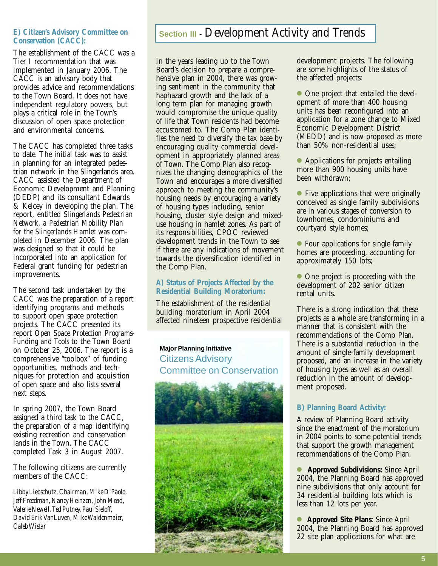#### **E) Citizen's Advisory Committee on Conservation (CACC):**

The establishment of the CACC was a Tier I recommendation that was implemented in January 2006. The CACC is an advisory body that provides advice and recommendations to the Town Board. It does not have independent regulatory powers, but plays a critical role in the Town's discussion of open space protection and environmental concerns.

The CACC has completed three tasks to date. The initial task was to assist in planning for an integrated pedestrian network in the Slingerlands area. CACC assisted the Department of Economic Development and Planning (DEDP) and its consultant Edwards & Kelcey in developing the plan. The report, entitled *Slingerlands Pedestrian Network, a Pedestrian Mobility Plan for the Slingerlands Hamlet* was completed in December 2006. The plan was designed so that it could be incorporated into an application for Federal grant funding for pedestrian improvements.

The second task undertaken by the CACC was the preparation of a report identifying programs and methods to support open space protection projects. The CACC presented its report *Open Space Protection Programs-Funding and Tools* to the Town Board on October 25, 2006. The report is a comprehensive "toolbox" of funding opportunities, methods and techniques for protection and acquisition of open space and also lists several next steps.

In spring 2007, the Town Board assigned a third task to the CACC, the preparation of a map identifying existing recreation and conservation lands in the Town. The CACC completed Task 3 in August 2007.

The following citizens are currently members of the CACC:

*Libby Liebschutz, Chairman, Mike DiPaolo, Jeff Freedman, Nancy Heinzen, John Mead, Valerie Newell, Ted Putney, Paul Sieloff, David Erik VanLuven, Mike Waldenmaier, Caleb Wistar*

#### **Section III** - Development Activity and Trends

In the years leading up to the Town Board's decision to prepare a comprehensive plan in 2004, there was growing sentiment in the community that haphazard growth and the lack of a long term plan for managing growth would compromise the unique quality of life that Town residents had become accustomed to. The Comp Plan identifies the need to diversify the tax base by encouraging quality commercial development in appropriately planned areas of Town. The Comp Plan also recognizes the changing demographics of the Town and encourages a more diversified approach to meeting the community's housing needs by encouraging a variety of housing types including, senior housing, cluster style design and mixeduse housing in hamlet zones. As part of its responsibilities, CPOC reviewed development trends in the Town to see if there are any indications of movement towards the diversification identified in the Comp Plan.

#### **A) Status of Projects Affected by the Residential Building Moratorium:**

The establishment of the residential building moratorium in April 2004 affected nineteen prospective residential

#### **Major Planning Initiative** Citizens Advisory Committee on Conservation



development projects. The following are some highlights of the status of the affected projects:

● One project that entailed the development of more than 400 housing units has been reconfigured into an application for a zone change to Mixed Economic Development District (MEDD) and is now proposed as more than 50% non-residential uses;

● Applications for projects entailing more than 900 housing units have been withdrawn;

● Five applications that were originally conceived as single family subdivisions are in various stages of conversion to townhomes, condominiums and courtyard style homes;

● Four applications for single family homes are proceeding, accounting for approximately 150 lots;

● One project is proceeding with the development of 202 senior citizen rental units.

There is a strong indication that these projects as a whole are transforming in a manner that is consistent with the recommendations of the Comp Plan. There is a substantial reduction in the amount of single-family development proposed, and an increase in the variety of housing types as well as an overall reduction in the amount of development proposed.

#### **B) Planning Board Activity:**

A review of Planning Board activity since the enactment of the moratorium in 2004 points to some potential trends that support the growth management recommendations of the Comp Plan.

● **Approved Subdivisions:** Since April 2004, the Planning Board has approved nine subdivisions that only account for 34 residential building lots which is less than 12 lots per year.

● **Approved Site Plans**: Since April 2004, the Planning Board has approved 22 site plan applications for what are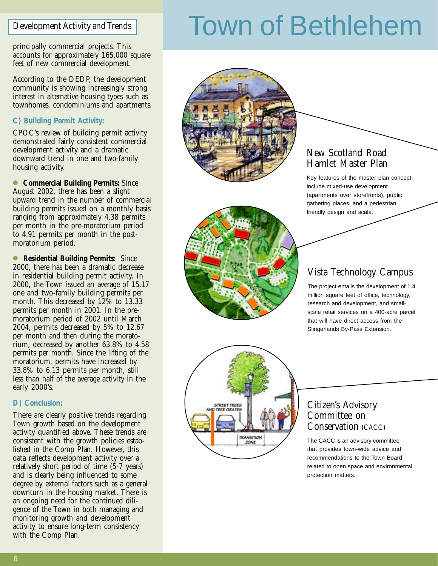principally commercial projects. This accounts for approximately 165,000 square feet of new commercial development.

According to the DEDP, the development community is showing increasingly strong interest in alternative housing types such as townhomes, condominiums and apartments.

#### **C) Building Permit Activity:**

CPOC's review of building permit activity demonstrated fairly consistent commercial development activity and a dramatic downward trend in one and two-family housing activity.

● **Commercial Building Permits:** Since August 2002, there has been a slight upward trend in the number of commercial building permits issued on a monthly basis ranging from approximately 4.38 permits per month in the pre-moratorium period to 4.91 permits per month in the postmoratorium period.

● **Residential Building Permits:** Since 2000, there has been a dramatic decrease in residential building permit activity. In 2000, the Town issued an average of 15.17 one and two-family building permits per month. This decreased by 12% to 13.33 permits per month in 2001. In the premoratorium period of 2002 until March 2004, permits decreased by 5% to 12.67 per month and then during the moratorium, decreased by another 63.8% to 4.58 permits per month. Since the lifting of the moratorium, permits have increased by 33.8% to 6.13 permits per month, still less than half of the average activity in the early 2000's.

#### **D) Conclusion:**

There are clearly positive trends regarding Town growth based on the development activity quantified above. These trends are consistent with the growth policies established in the Comp Plan. However, this data reflects development activity over a relatively short period of time (5-7 years) and is clearly being influenced to some degree by external factors such as a general downturn in the housing market. There is an ongoing need for the continued diligence of the Town in both managing and monitoring growth and development activity to ensure long-term consistency with the Comp Plan.

# Development Activity and Trends Town of Bethlehem





#### New Scotland Road Hamlet Master Plan

Key features of the master plan concept include mixed-use development (apartments over storefronts), public gathering places, and a pedestrian friendly design and scale.

#### Vista Technology Campus

The project entails the development of 1.4 million square feet of office, technology, research and development, and smallscale retail services on a 400-acre parcel that will have direct access from the Slingerlands By-Pass Extension.



#### Citizen's Advisory Committee on Conservation (CACC)

The CACC is an advisory committee that provides town-wide advice and recommendations to the Town Board related to open space and environmental protection matters.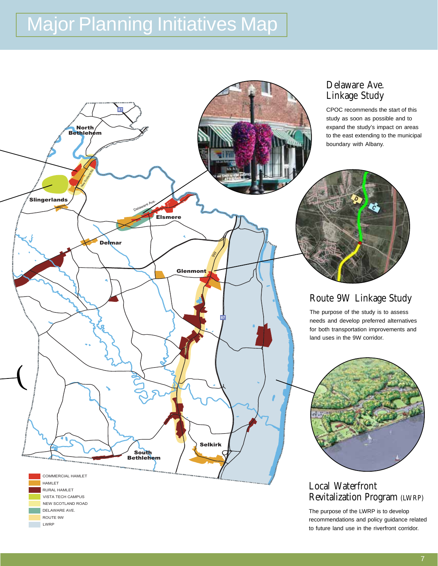### **Major Planning Initiatives Map**



CPOC recommends the start of this study as soon as possible and to expand the study's impact on areas to the east extending to the municipal boundary with Albany.



#### Route 9W Linkage Study

The purpose of the study is to assess needs and develop preferred alternatives for both transportation improvements and land uses in the 9W corridor.



#### Local Waterfront Revitalization Program (LWRP)

The purpose of the LWRP is to develop recommendations and policy guidance related to future land use in the riverfront corridor.



VISTA TECH CAMPUS NEW SCOTLAND ROAD DELAWARE AVE. ROUTE 9W LWRP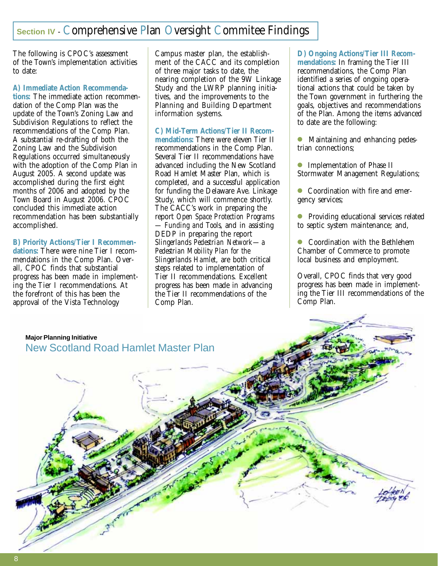### **Section IV - Comprehensive Plan Oversight Commitee Findings**

The following is CPOC's assessment of the Town's implementation activities to date:

#### **A) Immediate Action Recommenda-**

**tions:** The immediate action recommendation of the Comp Plan was the update of the Town's Zoning Law and Subdivision Regulations to reflect the recommendations of the Comp Plan. A substantial re-drafting of both the Zoning Law and the Subdivision Regulations occurred simultaneously with the adoption of the Comp Plan in August 2005. A second update was accomplished during the first eight months of 2006 and adopted by the Town Board in August 2006. CPOC concluded this immediate action recommendation has been substantially accomplished.

#### **B) Priority Actions/Tier I Recommen-**

**dations:** There were nine Tier I recommendations in the Comp Plan. Overall, CPOC finds that substantial progress has been made in implementing the Tier I recommendations. At the forefront of this has been the approval of the Vista Technology

Campus master plan, the establishment of the CACC and its completion of three major tasks to date, the nearing completion of the 9W Linkage Study and the LWRP planning initiatives, and the improvements to the Planning and Building Department information systems.

#### **C) Mid-Term Actions/Tier II Recom-**

**mendations:** There were eleven Tier II recommendations in the Comp Plan. Several Tier II recommendations have advanced including the New Scotland Road Hamlet Master Plan, which is completed, and a successful application for funding the Delaware Ave. Linkage Study, which will commence shortly. The CACC's work in preparing the report *Open Space Protection Programs — Funding and Tools,* and in assisting DEDP in preparing the report *Slingerlands Pedestrian Network—a Pedestrian Mobility Plan for the Slingerlands Hamlet*, are both critical steps related to implementation of Tier II recommendations. Excellent progress has been made in advancing the Tier II recommendations of the Comp Plan.

**D) Ongoing Actions/Tier III Recommendations:** In framing the Tier III recommendations, the Comp Plan identified a series of ongoing operational actions that could be taken by the Town government in furthering the goals, objectives and recommendations of the Plan. Among the items advanced to date are the following:

- Maintaining and enhancing pedestrian connections;
- Implementation of Phase II Stormwater Management Regulations;
- Coordination with fire and emergency services;
- Providing educational services related to septic system maintenance; and,
- Coordination with the Bethlehem Chamber of Commerce to promote local business and employment.

Overall, CPOC finds that very good progress has been made in implementing the Tier III recommendations of the Comp Plan.

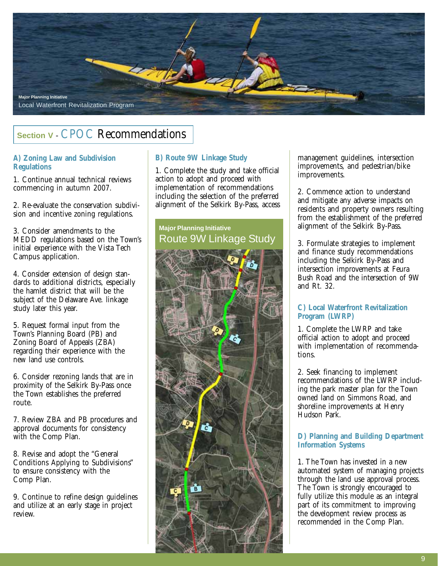

#### **Section V** - CPOC Recommendations

#### **A) Zoning Law and Subdivision Regulations**

1. Continue annual technical reviews commencing in autumn 2007.

2. Re-evaluate the conservation subdivision and incentive zoning regulations.

3. Consider amendments to the MEDD regulations based on the Town's initial experience with the Vista Tech Campus application.

4. Consider extension of design standards to additional districts, especially the hamlet district that will be the subject of the Delaware Ave. linkage study later this year.

5. Request formal input from the Town's Planning Board (PB) and Zoning Board of Appeals (ZBA) regarding their experience with the new land use controls.

6. Consider rezoning lands that are in proximity of the Selkirk By-Pass once the Town establishes the preferred route.

7. Review ZBA and PB procedures and approval documents for consistency with the Comp Plan.

8. Revise and adopt the "General Conditions Applying to Subdivisions" to ensure consistency with the Comp Plan.

9. Continue to refine design guidelines and utilize at an early stage in project review.

#### **B) Route 9W Linkage Study**

1. Complete the study and take official action to adopt and proceed with implementation of recommendations including the selection of the preferred alignment of the Selkirk By-Pass, access

#### **Major Planning Initiative** Route 9W Linkage Study



management guidelines, intersection improvements, and pedestrian/bike improvements.

2. Commence action to understand and mitigate any adverse impacts on residents and property owners resulting from the establishment of the preferred alignment of the Selkirk By-Pass.

3. Formulate strategies to implement and finance study recommendations including the Selkirk By-Pass and intersection improvements at Feura Bush Road and the intersection of 9W and Rt. 32.

#### **C) Local Waterfront Revitalization Program (LWRP)**

1. Complete the LWRP and take official action to adopt and proceed with implementation of recommendations.

2. Seek financing to implement recommendations of the LWRP including the park master plan for the Town owned land on Simmons Road, and shoreline improvements at Henry Hudson Park.

#### **D) Planning and Building Department Information Systems**

1. The Town has invested in a new automated system of managing projects through the land use approval process. The Town is strongly encouraged to fully utilize this module as an integral part of its commitment to improving the development review process as recommended in the Comp Plan.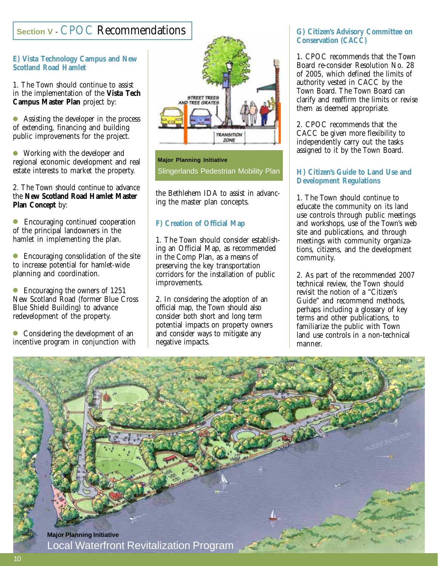#### **Section V** - CPOC Recommendations

#### **E) Vista Technology Campus and New Scotland Road Hamlet**

1. The Town should continue to assist in the implementation of the **Vista Tech Campus Master Plan** project by:

● Assisting the developer in the process of extending, financing and building public improvements for the project.

● Working with the developer and regional economic development and real estate interests to market the property.

2. The Town should continue to advance the **New Scotland Road Hamlet Master Plan Concept** by:

● Encouraging continued cooperation of the principal landowners in the hamlet in implementing the plan.

● Encouraging consolidation of the site to increase potential for hamlet-wide planning and coordination.

Encouraging the owners of 1251 New Scotland Road (former Blue Cross Blue Shield Building) to advance redevelopment of the property.

● Considering the development of an incentive program in conjunction with



#### **Major Planning Initiative** Slingerlands Pedestrian Mobility Plan

the Bethlehem IDA to assist in advancing the master plan concepts.

#### **F) Creation of Official Map**

1. The Town should consider establishing an Official Map, as recommended in the Comp Plan, as a means of preserving the key transportation corridors for the installation of public improvements.

2. In considering the adoption of an official map, the Town should also consider both short and long term potential impacts on property owners and consider ways to mitigate any negative impacts.

#### **G) Citizen's Advisory Committee on Conservation (CACC)**

1. CPOC recommends that the Town Board re-consider Resolution No. 28 of 2005, which defined the limits of authority vested in CACC by the Town Board. The Town Board can clarify and reaffirm the limits or revise them as deemed appropriate.

2. CPOC recommends that the CACC be given more flexibility to independently carry out the tasks assigned to it by the Town Board.

#### **H) Citizen's Guide to Land Use and Development Regulations**

1. The Town should continue to educate the community on its land use controls through public meetings and workshops, use of the Town's web site and publications, and through meetings with community organizations, citizens, and the development community.

2. As part of the recommended 2007 technical review, the Town should revisit the notion of a "Citizen's Guide" and recommend methods, perhaps including a glossary of key terms and other publications, to familiarize the public with Town land use controls in a non-technical manner.

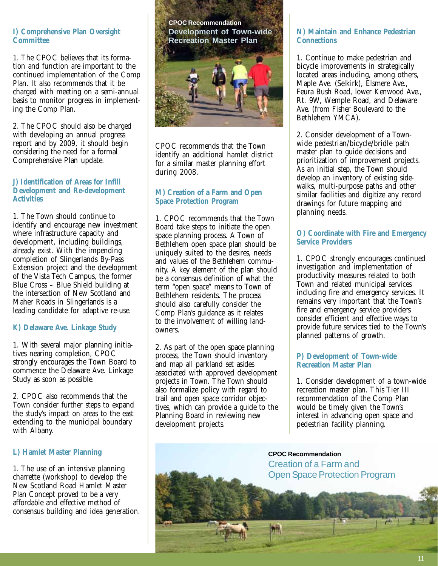#### **I) Comprehensive Plan Oversight Committee**

1. The CPOC believes that its formation and function are important to the continued implementation of the Comp Plan. It also recommends that it be charged with meeting on a semi-annual basis to monitor progress in implementing the Comp Plan.

2. The CPOC should also be charged with developing an annual progress report and by 2009, it should begin considering the need for a formal Comprehensive Plan update.

#### **J) Identification of Areas for Infill Development and Re-development Activities**

1. The Town should continue to identify and encourage new investment where infrastructure capacity and development, including buildings, already exist. With the impending completion of Slingerlands By-Pass Extension project and the development of the Vista Tech Campus, the former Blue Cross – Blue Shield building at the intersection of New Scotland and Maher Roads in Slingerlands is a leading candidate for adaptive re-use.

#### **K) Delaware Ave. Linkage Study**

1. With several major planning initiatives nearing completion, CPOC strongly encourages the Town Board to commence the Delaware Ave. Linkage Study as soon as possible.

2. CPOC also recommends that the Town consider further steps to expand the study's impact on areas to the east extending to the municipal boundary with Albany.

#### **L) Hamlet Master Planning**

1. The use of an intensive planning charrette (workshop) to develop the New Scotland Road Hamlet Master Plan Concept proved to be a very affordable and effective method of consensus building and idea generation.



CPOC recommends that the Town identify an additional hamlet district for a similar master planning effort during 2008.

#### **M) Creation of a Farm and Open Space Protection Program**

1. CPOC recommends that the Town Board take steps to initiate the open space planning process. A Town of Bethlehem open space plan should be uniquely suited to the desires, needs and values of the Bethlehem community. A key element of the plan should be a consensus definition of what the term "open space" means to Town of Bethlehem residents. The process should also carefully consider the Comp Plan's guidance as it relates to the involvement of willing landowners.

2. As part of the open space planning process, the Town should inventory and map all parkland set asides associated with approved development projects in Town. The Town should also formalize policy with regard to trail and open space corridor objectives, which can provide a guide to the Planning Board in reviewing new development projects.

#### **N) Maintain and Enhance Pedestrian Connections**

1. Continue to make pedestrian and bicycle improvements in strategically located areas including, among others, Maple Ave. (Selkirk), Elsmere Ave., Feura Bush Road, lower Kenwood Ave., Rt. 9W, Wemple Road, and Delaware Ave. (from Fisher Boulevard to the Bethlehem YMCA).

2. Consider development of a Townwide pedestrian/bicycle/bridle path master plan to guide decisions and prioritization of improvement projects. As an initial step, the Town should develop an inventory of existing sidewalks, multi-purpose paths and other similar facilities and digitize any record drawings for future mapping and planning needs.

#### **O) Coordinate with Fire and Emergency Service Providers**

1. CPOC strongly encourages continued investigation and implementation of productivity measures related to both Town and related municipal services including fire and emergency services. It remains very important that the Town's fire and emergency service providers consider efficient and effective ways to provide future services tied to the Town's planned patterns of growth.

#### **P) Development of Town-wide Recreation Master Plan**

1. Consider development of a town-wide recreation master plan. This Tier III recommendation of the Comp Plan would be timely given the Town's interest in advancing open space and pedestrian facility planning.

**CPOC Recommendation** Creation of a Farm and Open Space Protection Program